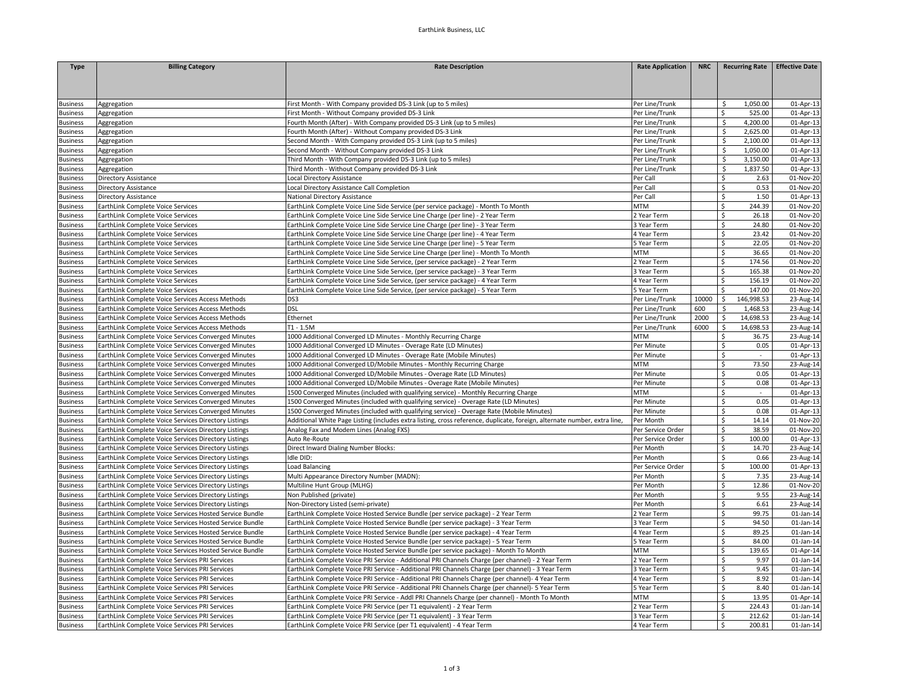| <b>Type</b>          | <b>Billing Category</b>                                 | <b>Rate Description</b>                                                                                                   | <b>Rate Application</b>          | <b>NRC</b> | <b>Recurring Rate</b>        | <b>Effective Date</b>  |
|----------------------|---------------------------------------------------------|---------------------------------------------------------------------------------------------------------------------------|----------------------------------|------------|------------------------------|------------------------|
|                      |                                                         |                                                                                                                           |                                  |            |                              |                        |
|                      |                                                         |                                                                                                                           |                                  |            |                              |                        |
|                      |                                                         | First Month - With Company provided DS-3 Link (up to 5 miles)                                                             |                                  |            | 1,050.00                     | 01-Apr-13              |
| Business<br>Business | Aggregation<br>Aggregation                              | First Month - Without Company provided DS-3 Link                                                                          | Per Line/Trunk<br>Per Line/Trunk |            | S.<br>Ś<br>525.00            | 01-Apr-13              |
| Business             | Aggregation                                             | Fourth Month (After) - With Company provided DS-3 Link (up to 5 miles)                                                    | Per Line/Trunk                   |            | \$<br>4,200.00               | 01-Apr-13              |
| Business             | Aggregation                                             | Fourth Month (After) - Without Company provided DS-3 Link                                                                 | Per Line/Trunk                   |            | \$<br>2,625.00               | 01-Apr-13              |
| <b>Business</b>      | Aggregation                                             | Second Month - With Company provided DS-3 Link (up to 5 miles)                                                            | Per Line/Trunk                   |            | $\mathsf{S}$<br>2,100.00     | 01-Apr-13              |
| Business             | Aggregation                                             | Second Month - Without Company provided DS-3 Link                                                                         | Per Line/Trunk                   |            | \$<br>1,050.00               | 01-Apr-13              |
| usiness              | Aggregation                                             | Third Month - With Company provided DS-3 Link (up to 5 miles)                                                             | Per Line/Trunk                   |            | \$<br>3,150.00               | 01-Apr-13              |
| Business             | Aggregation                                             | Third Month - Without Company provided DS-3 Link                                                                          | Per Line/Trunk                   |            | \$<br>1,837.50               | 01-Apr-13              |
| Business             | Directory Assistance                                    | Local Directory Assistance                                                                                                | Per Call                         |            | $\dot{\mathsf{S}}$<br>2.63   | 01-Nov-20              |
| Business             | Directory Assistance                                    | Local Directory Assistance Call Completion                                                                                | Per Call                         |            | $\dot{\mathsf{S}}$<br>0.53   | 01-Nov-20              |
| Business             | Directory Assistance                                    | National Directory Assistance                                                                                             | Per Call                         |            | <sup>\$</sup><br>1.50        | 01-Apr-13              |
| Business             | EarthLink Complete Voice Services                       | EarthLink Complete Voice Line Side Service (per service package) - Month To Month                                         | <b>MTM</b>                       |            | \$<br>244.39                 | 01-Nov-20              |
| susiness             | EarthLink Complete Voice Services                       | EarthLink Complete Voice Line Side Service Line Charge (per line) - 2 Year Term                                           | 2 Year Term                      |            | Ŝ.<br>26.18                  | 01-Nov-20              |
| <b>Business</b>      | EarthLink Complete Voice Services                       | EarthLink Complete Voice Line Side Service Line Charge (per line) - 3 Year Term                                           | 3 Year Term                      |            | $\mathsf{\$}$<br>24.80       | 01-Nov-20              |
|                      |                                                         |                                                                                                                           |                                  |            |                              |                        |
| <b>Business</b>      | EarthLink Complete Voice Services                       | EarthLink Complete Voice Line Side Service Line Charge (per line) - 4 Year Term                                           | 4 Year Term                      |            | \$<br>23.42<br>\$<br>22.05   | 01-Nov-20<br>01-Nov-20 |
| Business             | EarthLink Complete Voice Services                       | EarthLink Complete Voice Line Side Service Line Charge (per line) - 5 Year Term                                           | 5 Year Term                      |            |                              |                        |
| <b>Business</b>      | EarthLink Complete Voice Services                       | EarthLink Complete Voice Line Side Service Line Charge (per line) - Month To Month                                        | <b>MTM</b>                       |            | \$<br>36.65                  | 01-Nov-20              |
| <b>Business</b>      | EarthLink Complete Voice Services                       | EarthLink Complete Voice Line Side Service, (per service package) - 2 Year Term                                           | 2 Year Term                      |            | $\mathsf{\hat{S}}$<br>174.56 | 01-Nov-20              |
| <b>Business</b>      | EarthLink Complete Voice Services                       | EarthLink Complete Voice Line Side Service, (per service package) - 3 Year Term                                           | 3 Year Term                      |            | \$<br>165.38                 | 01-Nov-20              |
| <b>Business</b>      | EarthLink Complete Voice Services                       | EarthLink Complete Voice Line Side Service, (per service package) - 4 Year Term                                           | 4 Year Term                      |            | 156.19<br>Ŝ.                 | 01-Nov-20              |
| Business             | EarthLink Complete Voice Services                       | EarthLink Complete Voice Line Side Service, (per service package) - 5 Year Term                                           | 5 Year Term                      |            | \$<br>147.00                 | 01-Nov-20              |
| <b>Business</b>      | EarthLink Complete Voice Services Access Methods        | DS3                                                                                                                       | Per Line/Trunk                   | 10000      | $\mathsf{S}$<br>146,998.53   | 23-Aug-14              |
| <b>Business</b>      | EarthLink Complete Voice Services Access Methods        | <b>DSL</b>                                                                                                                | Per Line/Trunk                   | 600        | \$<br>1,468.53               | 23-Aug-14              |
| <b>Business</b>      | EarthLink Complete Voice Services Access Methods        | Ethernet                                                                                                                  | Per Line/Trunk                   | 2000       | \$<br>14,698.53              | 23-Aug-14              |
| <b>Business</b>      | EarthLink Complete Voice Services Access Methods        | $T1 - 1.5M$                                                                                                               | Per Line/Trunk                   | 6000       | \$<br>14,698.53              | 23-Aug-14              |
| <b>Business</b>      | EarthLink Complete Voice Services Converged Minutes     | 1000 Additional Converged LD Minutes - Monthly Recurring Charge                                                           | MTM                              |            | \$<br>36.75                  | 23-Aug-14              |
| <b>Business</b>      | EarthLink Complete Voice Services Converged Minutes     | 1000 Additional Converged LD Minutes - Overage Rate (LD Minutes)                                                          | Per Minute                       |            | \$<br>0.05                   | 01-Apr-13              |
| <b>Business</b>      | EarthLink Complete Voice Services Converged Minutes     | 1000 Additional Converged LD Minutes - Overage Rate (Mobile Minutes)                                                      | Per Minute                       |            | $\ddot{\varsigma}$<br>$\sim$ | 01-Apr-13              |
| Business             | EarthLink Complete Voice Services Converged Minutes     | 1000 Additional Converged LD/Mobile Minutes - Monthly Recurring Charge                                                    | <b>MTM</b>                       |            | 73.50<br>\$                  | 23-Aug-14              |
| susiness             | EarthLink Complete Voice Services Converged Minutes     | 1000 Additional Converged LD/Mobile Minutes - Overage Rate (LD Minutes)                                                   | Per Minute                       |            | \$<br>0.05                   | 01-Apr-13              |
| Business             | EarthLink Complete Voice Services Converged Minutes     | 1000 Additional Converged LD/Mobile Minutes - Overage Rate (Mobile Minutes)                                               | Per Minute                       |            | \$<br>0.08                   | 01-Apr-13              |
| Business             | EarthLink Complete Voice Services Converged Minutes     | 1500 Converged Minutes (included with qualifying service) - Monthly Recurring Charge                                      | <b>MTM</b>                       |            | \$<br>$\blacksquare$         | 01-Apr-13              |
| <b>Business</b>      | EarthLink Complete Voice Services Converged Minutes     | 1500 Converged Minutes (included with qualifying service) - Overage Rate (LD Minutes)                                     | Per Minute                       |            | 0.05<br>\$                   | 01-Apr-13              |
| Business             | EarthLink Complete Voice Services Converged Minutes     | 1500 Converged Minutes (included with qualifying service) - Overage Rate (Mobile Minutes)                                 | Per Minute                       |            | \$<br>0.08                   | 01-Apr-13              |
| Business             | EarthLink Complete Voice Services Directory Listings    | Additional White Page Listing (includes extra listing, cross reference, duplicate, foreign, alternate number, extra line, | Per Month                        |            | \$<br>14.14                  | 01-Nov-20              |
| <b>Business</b>      | EarthLink Complete Voice Services Directory Listings    | Analog Fax and Modem Lines (Analog FXS)                                                                                   | Per Service Order                |            | \$<br>38.59                  | 01-Nov-20              |
| <b>Business</b>      | EarthLink Complete Voice Services Directory Listings    | Auto Re-Route                                                                                                             | Per Service Order                |            | $\mathsf{\hat{S}}$<br>100.00 | 01-Apr-13              |
| <b>Business</b>      | EarthLink Complete Voice Services Directory Listings    | <b>Direct Inward Dialing Number Blocks:</b>                                                                               | Per Month                        |            | \$<br>14.70                  | 23-Aug-14              |
| <b>Susiness</b>      | EarthLink Complete Voice Services Directory Listings    | Idle DID:                                                                                                                 | Per Month                        |            | \$<br>0.66                   | 23-Aug-14              |
| <b>Business</b>      | EarthLink Complete Voice Services Directory Listings    | Load Balancing                                                                                                            | Per Service Order                |            | \$<br>100.00                 | 01-Apr-13              |
| <b>Business</b>      | EarthLink Complete Voice Services Directory Listings    | Multi Appearance Directory Number (MADN):                                                                                 | Per Month                        |            | \$<br>7.35                   | 23-Aug-14              |
| <b>Business</b>      | EarthLink Complete Voice Services Directory Listings    | Multiline Hunt Group (MLHG)                                                                                               | Per Month                        |            | \$<br>12.86                  | 01-Nov-20              |
| <b>Business</b>      | EarthLink Complete Voice Services Directory Listings    | Non Published (private)                                                                                                   | Per Month                        |            | \$<br>9.55                   | 23-Aug-14              |
| <b>Business</b>      | EarthLink Complete Voice Services Directory Listings    | Non-Directory Listed (semi-private)                                                                                       | Per Month                        |            | \$<br>6.61                   | 23-Aug-14              |
| <b>Business</b>      | EarthLink Complete Voice Services Hosted Service Bundle | EarthLink Complete Voice Hosted Service Bundle (per service package) - 2 Year Term                                        | 2 Year Term                      |            | \$<br>99.75                  | 01-Jan-14              |
| Business             | EarthLink Complete Voice Services Hosted Service Bundle | EarthLink Complete Voice Hosted Service Bundle (per service package) - 3 Year Term                                        | 3 Year Term                      |            | \$<br>94.50                  | $01$ -Jan-14           |
| Business             | EarthLink Complete Voice Services Hosted Service Bundle | EarthLink Complete Voice Hosted Service Bundle (per service package) - 4 Year Term                                        | 4 Year Term                      |            | \$<br>89.25                  | 01-Jan-14              |
| Business             | EarthLink Complete Voice Services Hosted Service Bundle | EarthLink Complete Voice Hosted Service Bundle (per service package) - 5 Year Term                                        | 5 Year Term                      |            | \$<br>84.00                  | 01-Jan-14              |
| Business             | EarthLink Complete Voice Services Hosted Service Bundle | EarthLink Complete Voice Hosted Service Bundle (per service package) - Month To Month                                     | <b>MTM</b>                       |            | \$<br>139.65                 | 01-Apr-14              |
| Business             | EarthLink Complete Voice Services PRI Services          | EarthLink Complete Voice PRI Service - Additional PRI Channels Charge (per channel) - 2 Year Term                         | 2 Year Term                      |            | 9.97<br>\$                   | 01-Jan-14              |
| <b>Business</b>      | EarthLink Complete Voice Services PRI Services          | EarthLink Complete Voice PRI Service - Additional PRI Channels Charge (per channel) - 3 Year Term                         | 3 Year Term                      |            | $\mathsf{S}$<br>9.45         | $01$ -Jan-14           |
| <b>Business</b>      | EarthLink Complete Voice Services PRI Services          | EarthLink Complete Voice PRI Service - Additional PRI Channels Charge (per channel)- 4 Year Term                          | 4 Year Term                      |            | $\mathsf{S}$<br>8.92         | 01-Jan-14              |
| susiness             | EarthLink Complete Voice Services PRI Services          | EarthLink Complete Voice PRI Service - Additional PRI Channels Charge (per channel)- 5 Year Term                          | S Year Term                      |            | \$<br>8.40                   | 01-Jan-14              |
| Business             | EarthLink Complete Voice Services PRI Services          | EarthLink Complete Voice PRI Service - Addl PRI Channels Charge (per channel) - Month To Month                            | MTM                              |            | 13.95<br>\$                  | 01-Apr-14              |
| Business             | EarthLink Complete Voice Services PRI Services          | EarthLink Complete Voice PRI Service (per T1 equivalent) - 2 Year Term                                                    | 2 Year Term                      |            | Ś<br>224.43                  | 01-Jan-14              |
| <b>Business</b>      | EarthLink Complete Voice Services PRI Services          | EarthLink Complete Voice PRI Service (per T1 equivalent) - 3 Year Term                                                    | 3 Year Term                      |            | $\mathsf{\hat{S}}$<br>212.62 | 01-Jan-14              |
| <b>Business</b>      | EarthLink Complete Voice Services PRI Services          | EarthLink Complete Voice PRI Service (per T1 equivalent) - 4 Year Term                                                    | 4 Year Term                      |            | Ŝ.<br>200.81                 | $01$ -Jan-14           |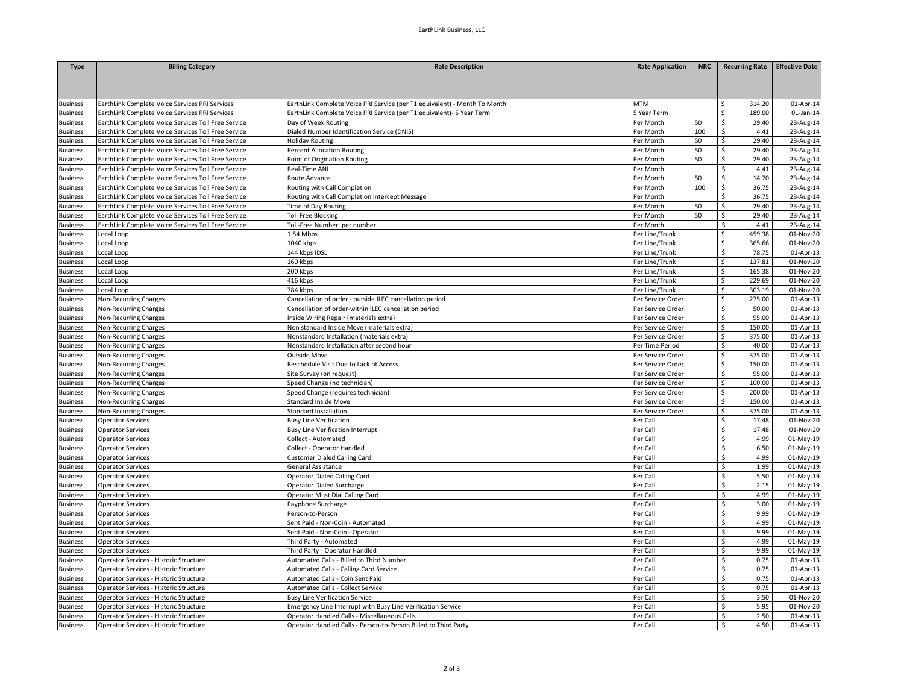| <b>Type</b>     | <b>Billing Category</b>                             | <b>Rate Description</b>                                                   | <b>Rate Application</b> | <b>NRC</b> | Recurring Rate   Effective Date |              |
|-----------------|-----------------------------------------------------|---------------------------------------------------------------------------|-------------------------|------------|---------------------------------|--------------|
|                 |                                                     |                                                                           |                         |            |                                 |              |
|                 |                                                     |                                                                           |                         |            |                                 |              |
|                 |                                                     |                                                                           |                         |            |                                 |              |
| <b>Business</b> | EarthLink Complete Voice Services PRI Services      | EarthLink Complete Voice PRI Service (per T1 equivalent) - Month To Month | <b>MTM</b>              |            | \$<br>314.20                    | 01-Apr-14    |
| <b>Business</b> | EarthLink Complete Voice Services PRI Services      | EarthLink Complete Voice PRI Service (per T1 equivalent)- 5 Year Term     | 5 Year Term             |            | \$<br>189.00                    | $01$ -Jan-14 |
| <b>Business</b> | EarthLink Complete Voice Services Toll Free Service | Day of Week Routing                                                       | Per Month               | 50         | \$<br>29.40                     | 23-Aug-14    |
| <b>Business</b> | EarthLink Complete Voice Services Toll Free Service | Dialed Number Identification Service (DNIS)                               | Per Month               | 100        | \$<br>4.41                      | 23-Aug-14    |
| <b>Business</b> | EarthLink Complete Voice Services Toll Free Service | <b>Holiday Routing</b>                                                    | Per Month               | 50         | \$<br>29.40                     | 23-Aug-14    |
| <b>Business</b> | EarthLink Complete Voice Services Toll Free Service | <b>Percent Allocation Routing</b>                                         | Per Month               | 50         | \$<br>29.40                     | 23-Aug-14    |
| <b>Business</b> | EarthLink Complete Voice Services Toll Free Service | Point of Origination Routing                                              | Per Month               | 50         | \$<br>29.40                     | 23-Aug-14    |
| <b>Business</b> | EarthLink Complete Voice Services Toll Free Service | Real-Time ANI                                                             | Per Month               |            | 4.41<br>\$                      | 23-Aug-14    |
| <b>Business</b> | EarthLink Complete Voice Services Toll Free Service | Route Advance                                                             | Per Month               | 50         | \$<br>14.70                     | 23-Aug-14    |
| <b>Business</b> | EarthLink Complete Voice Services Toll Free Service | Routing with Call Completion                                              | Per Month               | 100        | \$<br>36.75                     | 23-Aug-14    |
| usiness         | EarthLink Complete Voice Services Toll Free Service | Routing with Call Completion Intercept Message                            | Per Month               |            | \$<br>36.75                     | 23-Aug-14    |
| <b>Business</b> | EarthLink Complete Voice Services Toll Free Service | Time of Day Routing                                                       | Per Month               | 50         | 29.40<br>\$                     | 23-Aug-14    |
| <b>Business</b> | EarthLink Complete Voice Services Toll Free Service | <b>Toll Free Blocking</b>                                                 | Per Month               | 50         | \$<br>29.40                     | 23-Aug-14    |
| <b>Business</b> | EarthLink Complete Voice Services Toll Free Service | Toll-Free Number, per number                                              | Per Month               |            | \$<br>4.41                      | 23-Aug-14    |
| <b>Business</b> | Local Loop                                          | 1.54 Mbps                                                                 | Per Line/Trunk          |            | \$<br>459.38                    | 01-Nov-20    |
| <b>Business</b> | Local Loop                                          | 1040 kbps                                                                 | Per Line/Trunk          |            | \$<br>365.66                    | 01-Nov-20    |
| <b>Business</b> | Local Loop                                          | 144 kbps IDSL                                                             | Per Line/Trunk          |            | \$<br>78.75                     | 01-Apr-13    |
| <b>Business</b> | Local Loop                                          | 160 kbps                                                                  | Per Line/Trunk          |            | \$<br>137.81                    | 01-Nov-20    |
| <b>Business</b> | Local Loop                                          | 200 kbps                                                                  | Per Line/Trunk          |            | $\mathsf{\$}$<br>165.38         | 01-Nov-20    |
| <b>Business</b> | Local Loop                                          | 416 kbps                                                                  | Per Line/Trunk          |            | \$<br>229.69                    | 01-Nov-20    |
| <b>Business</b> | Local Loop                                          | 784 kbps                                                                  | Per Line/Trunk          |            | \$<br>303.19                    | 01-Nov-20    |
| <b>Business</b> | Non-Recurring Charges                               | Cancellation of order - outside ILEC cancellation period                  | Per Service Order       |            | \$<br>275.00                    | 01-Apr-13    |
| <b>Business</b> | Non-Recurring Charges                               | Cancellation of order-within ILEC cancellation period                     | Per Service Order       |            | \$<br>50.00                     | 01-Apr-13    |
| <b>Business</b> | Non-Recurring Charges                               | Inside Wiring Repair (materials extra)                                    | Per Service Order       |            | \$<br>95.00                     | 01-Apr-13    |
| <b>Business</b> | Non-Recurring Charges                               | Non standard Inside Move (materials extra)                                | Per Service Order       |            | \$<br>150.00                    | 01-Apr-13    |
| <b>Business</b> | Non-Recurring Charges                               | Nonstandard Installation (materials extra)                                | Per Service Order       |            | \$<br>375.00                    | 01-Apr-13    |
| <b>Business</b> | Non-Recurring Charges                               | Nonstandard Installation after second hour                                | Per Time Period         |            | \$<br>40.00                     | 01-Apr-13    |
| <b>Business</b> | Non-Recurring Charges                               | <b>Outside Move</b>                                                       | Per Service Order       |            | \$<br>375.00                    | 01-Apr-13    |
| usiness         | Non-Recurring Charges                               | Reschedule Visit Due to Lack of Access                                    | Per Service Order       |            | \$<br>150.00                    | 01-Apr-13    |
| usiness         | Non-Recurring Charges                               | Site Survey (on request)                                                  | Per Service Order       |            | \$<br>95.00                     | 01-Apr-13    |
| usiness         | Non-Recurring Charges                               | Speed Change (no technician)                                              | Per Service Order       |            | \$<br>100.00                    | 01-Apr-13    |
| <b>Business</b> | Non-Recurring Charges                               | Speed Change (requires technician)                                        | Per Service Order       |            | \$<br>200.00                    | 01-Apr-13    |
| <b>Business</b> | Non-Recurring Charges                               | <b>Standard Inside Move</b>                                               | Per Service Order       |            | \$<br>150.00                    | 01-Apr-13    |
| <b>Business</b> | Non-Recurring Charges                               | Standard Installation                                                     | Per Service Order       |            | \$<br>375.00                    | 01-Apr-13    |
| <b>Business</b> | <b>Operator Services</b>                            | <b>Busy Line Verification</b>                                             | Per Call                |            | \$<br>17.48                     | 01-Nov-20    |
| <b>Business</b> | <b>Operator Services</b>                            | <b>Busy Line Verification Interrupt</b>                                   | Per Call                |            | \$<br>17.48                     | 01-Nov-20    |
| <b>Business</b> | <b>Operator Services</b>                            | Collect - Automated                                                       | Per Call                |            | \$<br>4.99                      | 01-May-19    |
| <b>Business</b> | <b>Operator Services</b>                            | Collect - Operator Handled                                                | Per Call                |            | \$<br>6.50                      | 01-May-19    |
| <b>Business</b> | <b>Operator Services</b>                            | Customer Dialed Calling Card                                              | Per Call                |            | \$<br>4.99                      | 01-May-19    |
| <b>Business</b> | <b>Operator Services</b>                            | General Assistance                                                        | Per Call                |            | \$<br>1.99                      | 01-May-19    |
| <b>Business</b> | <b>Operator Services</b>                            | Operator Dialed Calling Card                                              | Per Call                |            | \$<br>5.50                      | 01-May-19    |
| <b>Business</b> | <b>Operator Services</b>                            | Operator Dialed Surcharge                                                 | Per Call                |            | \$<br>2.15                      | 01-May-19    |
| <b>Business</b> | <b>Operator Services</b>                            | Operator Must Dial Calling Card                                           | Per Call                |            | \$<br>4.99                      | 01-May-19    |
| <b>Business</b> | <b>Operator Services</b>                            | Payphone Surcharge                                                        | Per Call                |            | Ś<br>3.00                       | 01-May-19    |
| <b>Business</b> | <b>Operator Services</b>                            | Person-to-Person                                                          | Per Call                |            | \$<br>9.99                      | 01-May-19    |
| <b>Business</b> | <b>Operator Services</b>                            | Sent Paid - Non-Coin - Automated                                          | Per Call                |            | 4.99<br>\$                      | 01-May-19    |
| <b>Business</b> | <b>Operator Services</b>                            | Sent Paid - Non-Coin - Operator                                           | Per Call                |            | \$<br>9.99                      | 01-May-19    |
| <b>Business</b> | <b>Operator Services</b>                            | Third Party - Automated                                                   | Per Call                |            | \$<br>4.99                      | 01-May-19    |
| <b>Business</b> | <b>Operator Services</b>                            | Third Party - Operator Handled                                            | Per Call                |            | \$<br>9.99                      | 01-May-19    |
| <b>Business</b> | Operator Services - Historic Structure              | Automated Calls - Billed to Third Number                                  | Per Call                |            | \$<br>0.75                      | 01-Apr-13    |
| usiness         | Operator Services - Historic Structure              | Automated Calls - Calling Card Service                                    | Per Call                |            | Ś<br>0.75                       | 01-Apr-13    |
| <b>Business</b> | Operator Services - Historic Structure              | Automated Calls - Coin Sent Paid                                          | Per Call                |            | \$<br>0.75                      | 01-Apr-13    |
| <b>Business</b> | Operator Services - Historic Structure              | Automated Calls - Collect Service                                         | Per Call                |            | Ś<br>0.75                       | 01-Apr-13    |
| <b>Business</b> | Operator Services - Historic Structure              | <b>Busy Line Verification Service</b>                                     | Per Call                |            | \$<br>3.50                      | 01-Nov-20    |
| <b>Business</b> | Operator Services - Historic Structure              | Emergency Line Interrupt with Busy Line Verification Service              | Per Call                |            | 5.95<br>\$                      | 01-Nov-20    |
| <b>Business</b> | Operator Services - Historic Structure              | Operator Handled Calls - Miscellaneous Calls                              | Per Call                |            | \$<br>2.50                      |              |
|                 |                                                     |                                                                           |                         |            |                                 | 01-Apr-13    |
| <b>Business</b> | Operator Services - Historic Structure              | Operator Handled Calls - Person-to-Person Billed to Third Party           | Per Call                |            | $\mathsf{S}$<br>4.50            | 01-Apr-13    |